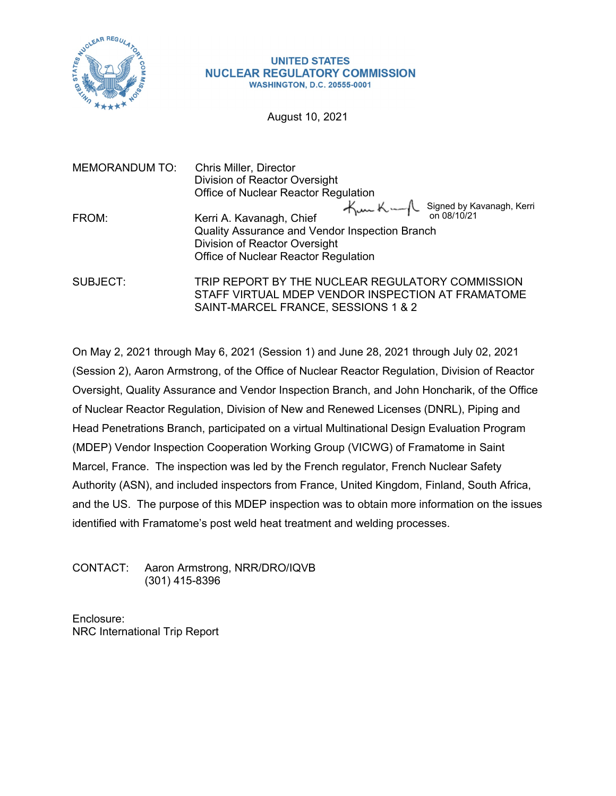

#### **UNITED STATES NUCLEAR REGULATORY COMMISSION WASHINGTON, D.C. 20555-0001**

August 10, 2021

| <b>MEMORANDUM TO:</b> | Chris Miller, Director<br>Division of Reactor Oversight                                                                                                                                                |  |
|-----------------------|--------------------------------------------------------------------------------------------------------------------------------------------------------------------------------------------------------|--|
|                       | Office of Nuclear Reactor Regulation                                                                                                                                                                   |  |
| FROM:                 | $\forall$ www K world Signed by Kavanagh, Kerri<br>Kerri A. Kavanagh, Chief<br>Quality Assurance and Vendor Inspection Branch<br>Division of Reactor Oversight<br>Office of Nuclear Reactor Regulation |  |
| SUBJECT:              | TRIP REPORT BY THE NUCLEAR REGULATORY COMMISSION<br>STAFF VIRTUAL MDEP VENDOR INSPECTION AT FRAMATOME<br>SAINT-MARCEL FRANCE, SESSIONS 1 & 2                                                           |  |

On May 2, 2021 through May 6, 2021 (Session 1) and June 28, 2021 through July 02, 2021 (Session 2), Aaron Armstrong, of the Office of Nuclear Reactor Regulation, Division of Reactor Oversight, Quality Assurance and Vendor Inspection Branch, and John Honcharik, of the Office of Nuclear Reactor Regulation, Division of New and Renewed Licenses (DNRL), Piping and Head Penetrations Branch, participated on a virtual Multinational Design Evaluation Program (MDEP) Vendor Inspection Cooperation Working Group (VICWG) of Framatome in Saint Marcel, France. The inspection was led by the French regulator, French Nuclear Safety Authority (ASN), and included inspectors from France, United Kingdom, Finland, South Africa, and the US. The purpose of this MDEP inspection was to obtain more information on the issues identified with Framatome's post weld heat treatment and welding processes.

CONTACT: Aaron Armstrong, NRR/DRO/IQVB (301) 415-8396

Enclosure: NRC International Trip Report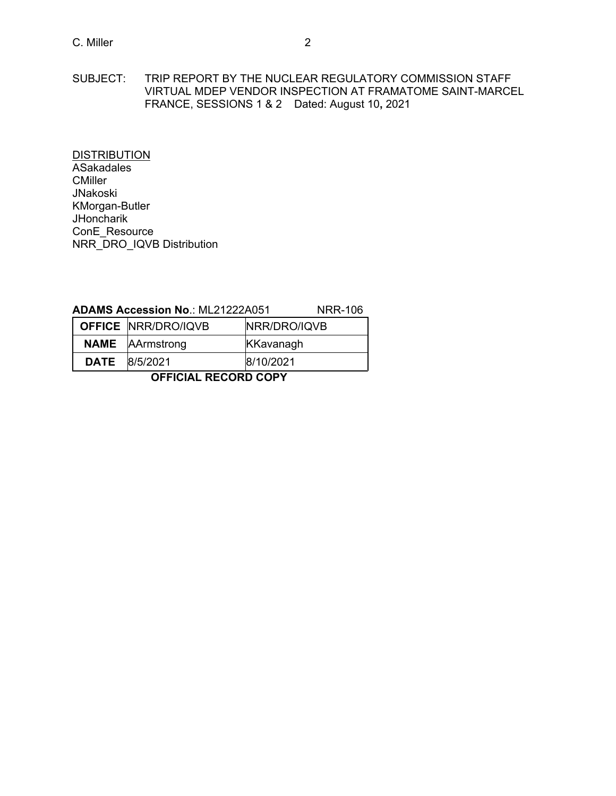SUBJECT: TRIP REPORT BY THE NUCLEAR REGULATORY COMMISSION STAFF VIRTUAL MDEP VENDOR INSPECTION AT FRAMATOME SAINT-MARCEL FRANCE, SESSIONS 1 & 2 Dated: August 10**,** 2021

**DISTRIBUTION ASakadales CMiller** JNakoski KMorgan-Butler **JHoncharik** ConE\_Resource NRR\_DRO\_IQVB Distribution

#### **ADAMS Accession No**.: ML21222A051 NRR-106

| <b>OFFICE NRR/DRO/IQVB</b> | NRR/DRO/IQVB |
|----------------------------|--------------|
| <b>NAME</b> AArmstrong     | KKavanagh    |
| <b>DATE</b> 8/5/2021       | 8/10/2021    |

**OFFICIAL RECORD COPY**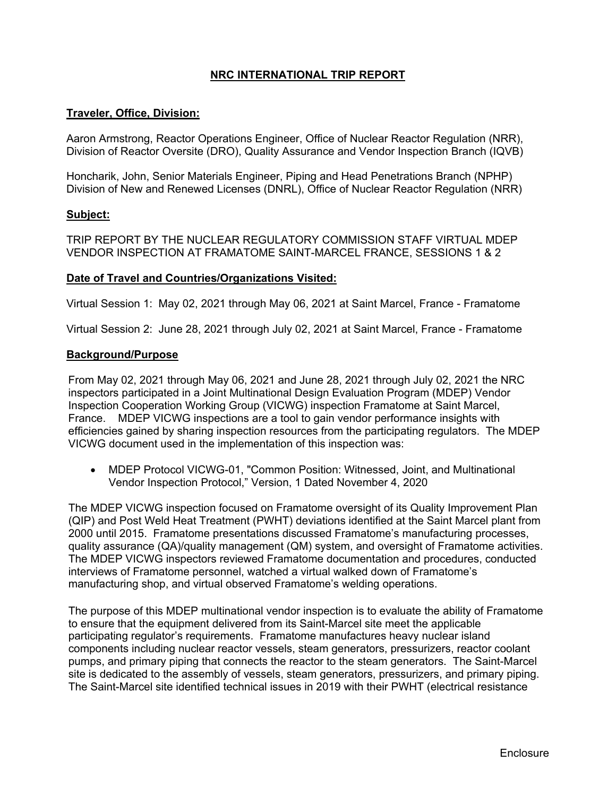# **NRC INTERNATIONAL TRIP REPORT**

## **Traveler, Office, Division:**

Aaron Armstrong, Reactor Operations Engineer, Office of Nuclear Reactor Regulation (NRR), Division of Reactor Oversite (DRO), Quality Assurance and Vendor Inspection Branch (IQVB)

Honcharik, John, Senior Materials Engineer, Piping and Head Penetrations Branch (NPHP) Division of New and Renewed Licenses (DNRL), Office of Nuclear Reactor Regulation (NRR)

### **Subject:**

TRIP REPORT BY THE NUCLEAR REGULATORY COMMISSION STAFF VIRTUAL MDEP VENDOR INSPECTION AT FRAMATOME SAINT-MARCEL FRANCE, SESSIONS 1 & 2

#### **Date of Travel and Countries/Organizations Visited:**

Virtual Session 1: May 02, 2021 through May 06, 2021 at Saint Marcel, France - Framatome

Virtual Session 2: June 28, 2021 through July 02, 2021 at Saint Marcel, France - Framatome

#### **Background/Purpose**

From May 02, 2021 through May 06, 2021 and June 28, 2021 through July 02, 2021 the NRC inspectors participated in a Joint Multinational Design Evaluation Program (MDEP) Vendor Inspection Cooperation Working Group (VICWG) inspection Framatome at Saint Marcel, France. MDEP VICWG inspections are a tool to gain vendor performance insights with efficiencies gained by sharing inspection resources from the participating regulators. The MDEP VICWG document used in the implementation of this inspection was:

 MDEP Protocol VICWG-01, "Common Position: Witnessed, Joint, and Multinational Vendor Inspection Protocol," Version, 1 Dated November 4, 2020

The MDEP VICWG inspection focused on Framatome oversight of its Quality Improvement Plan (QIP) and Post Weld Heat Treatment (PWHT) deviations identified at the Saint Marcel plant from 2000 until 2015. Framatome presentations discussed Framatome's manufacturing processes, quality assurance (QA)/quality management (QM) system, and oversight of Framatome activities. The MDEP VICWG inspectors reviewed Framatome documentation and procedures, conducted interviews of Framatome personnel, watched a virtual walked down of Framatome's manufacturing shop, and virtual observed Framatome's welding operations.

The purpose of this MDEP multinational vendor inspection is to evaluate the ability of Framatome to ensure that the equipment delivered from its Saint-Marcel site meet the applicable participating regulator's requirements. Framatome manufactures heavy nuclear island components including nuclear reactor vessels, steam generators, pressurizers, reactor coolant pumps, and primary piping that connects the reactor to the steam generators. The Saint-Marcel site is dedicated to the assembly of vessels, steam generators, pressurizers, and primary piping. The Saint-Marcel site identified technical issues in 2019 with their PWHT (electrical resistance